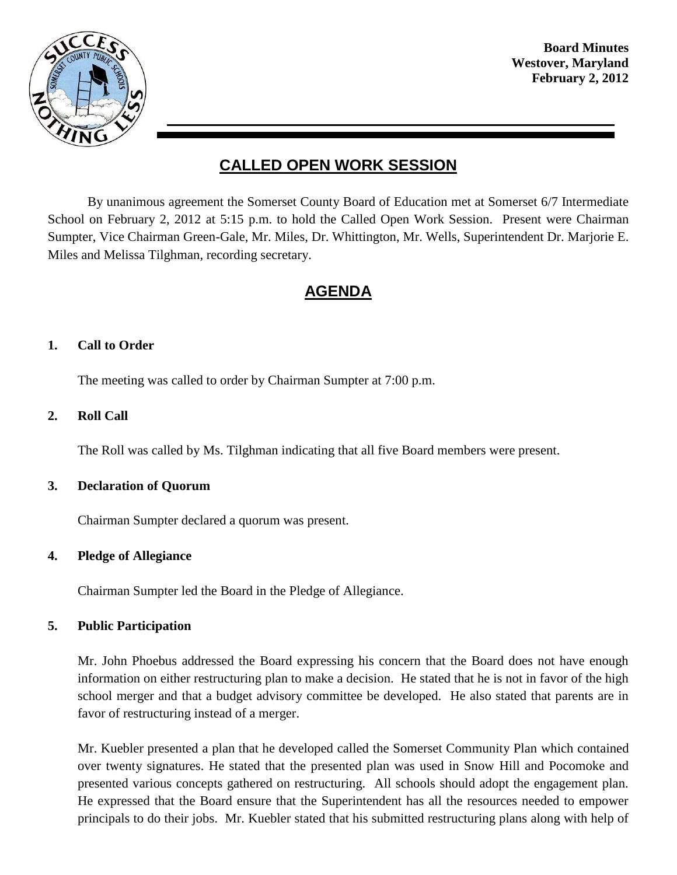

# **CALLED OPEN WORK SESSION**

By unanimous agreement the Somerset County Board of Education met at Somerset 6/7 Intermediate School on February 2, 2012 at 5:15 p.m. to hold the Called Open Work Session. Present were Chairman Sumpter, Vice Chairman Green-Gale, Mr. Miles, Dr. Whittington, Mr. Wells, Superintendent Dr. Marjorie E. Miles and Melissa Tilghman, recording secretary.

# **AGENDA**

## **1. Call to Order**

The meeting was called to order by Chairman Sumpter at 7:00 p.m.

## **2. Roll Call**

The Roll was called by Ms. Tilghman indicating that all five Board members were present.

#### **3. Declaration of Quorum**

Chairman Sumpter declared a quorum was present.

#### **4. Pledge of Allegiance**

Chairman Sumpter led the Board in the Pledge of Allegiance.

## **5. Public Participation**

Mr. John Phoebus addressed the Board expressing his concern that the Board does not have enough information on either restructuring plan to make a decision. He stated that he is not in favor of the high school merger and that a budget advisory committee be developed. He also stated that parents are in favor of restructuring instead of a merger.

Mr. Kuebler presented a plan that he developed called the Somerset Community Plan which contained over twenty signatures. He stated that the presented plan was used in Snow Hill and Pocomoke and presented various concepts gathered on restructuring. All schools should adopt the engagement plan. He expressed that the Board ensure that the Superintendent has all the resources needed to empower principals to do their jobs. Mr. Kuebler stated that his submitted restructuring plans along with help of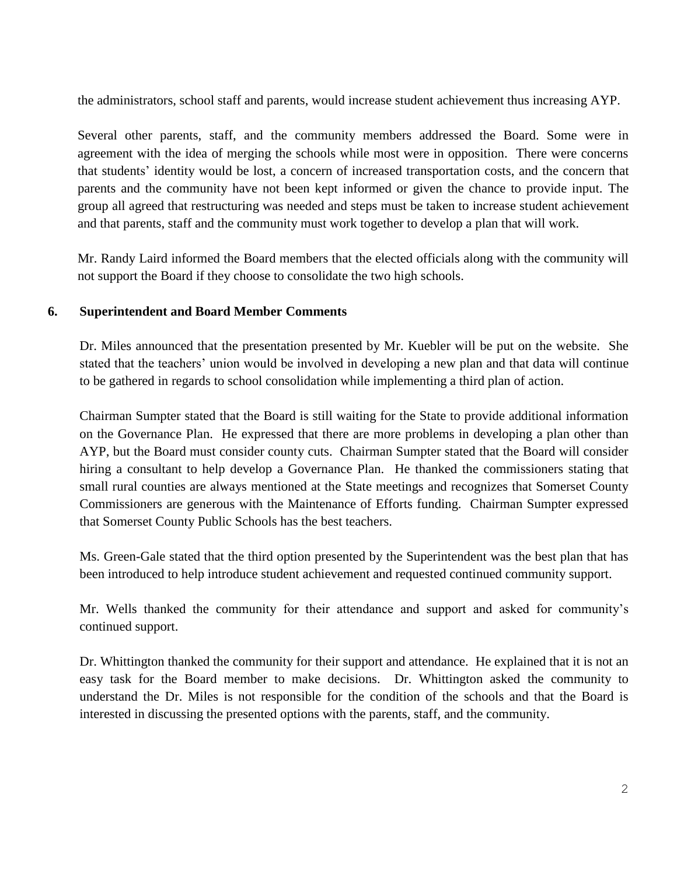the administrators, school staff and parents, would increase student achievement thus increasing AYP.

Several other parents, staff, and the community members addressed the Board. Some were in agreement with the idea of merging the schools while most were in opposition. There were concerns that students' identity would be lost, a concern of increased transportation costs, and the concern that parents and the community have not been kept informed or given the chance to provide input. The group all agreed that restructuring was needed and steps must be taken to increase student achievement and that parents, staff and the community must work together to develop a plan that will work.

Mr. Randy Laird informed the Board members that the elected officials along with the community will not support the Board if they choose to consolidate the two high schools.

## **6. Superintendent and Board Member Comments**

Dr. Miles announced that the presentation presented by Mr. Kuebler will be put on the website. She stated that the teachers' union would be involved in developing a new plan and that data will continue to be gathered in regards to school consolidation while implementing a third plan of action.

Chairman Sumpter stated that the Board is still waiting for the State to provide additional information on the Governance Plan. He expressed that there are more problems in developing a plan other than AYP, but the Board must consider county cuts. Chairman Sumpter stated that the Board will consider hiring a consultant to help develop a Governance Plan. He thanked the commissioners stating that small rural counties are always mentioned at the State meetings and recognizes that Somerset County Commissioners are generous with the Maintenance of Efforts funding. Chairman Sumpter expressed that Somerset County Public Schools has the best teachers.

Ms. Green-Gale stated that the third option presented by the Superintendent was the best plan that has been introduced to help introduce student achievement and requested continued community support.

Mr. Wells thanked the community for their attendance and support and asked for community's continued support.

Dr. Whittington thanked the community for their support and attendance. He explained that it is not an easy task for the Board member to make decisions. Dr. Whittington asked the community to understand the Dr. Miles is not responsible for the condition of the schools and that the Board is interested in discussing the presented options with the parents, staff, and the community.